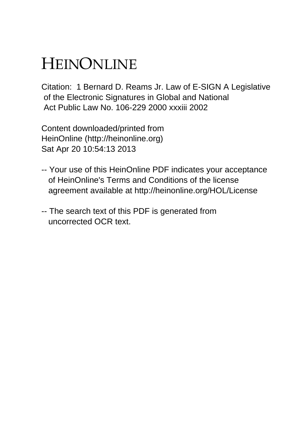# HEINONLINE

Citation: 1 Bernard D. Reams Jr. Law of E-SIGN A Legislative of the Electronic Signatures in Global and National Act Public Law No. 106-229 2000 xxxiii 2002

Content downloaded/printed from HeinOnline (http://heinonline.org) Sat Apr 20 10:54:13 2013

- -- Your use of this HeinOnline PDF indicates your acceptance of HeinOnline's Terms and Conditions of the license agreement available at http://heinonline.org/HOL/License
- -- The search text of this PDF is generated from uncorrected OCR text.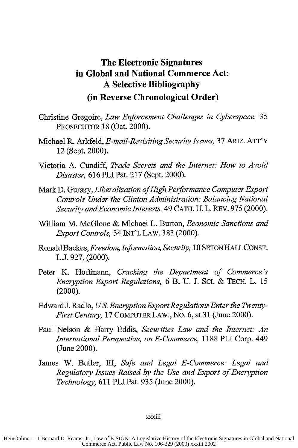## **The Electronic Signatures in Global and National Commerce Act: A Selective Bibliography (in Reverse Chronological Order)**

- Christine Gregoire, *Law Enforcement Challenges in Cyberspace, 35* PROSECUTOR 18 (Oct. 2000).
- Michael R. Arkfeld, *E-mail-Revisiting Security Issues,* 37 ARIZ. ATT'Y 12 (Sept. 2000).
- Victoria A. Cundiff, *Trade Secrets and the Internet: How to Avoid Disaster,* 616 PLI Pat. 217 (Sept. 2000).
- Mark D. Gursky, *Liberalization of High Performance Computer Export Controls Under the Clinton Administration: Balancing National Security and Economic Interests,* 49 CATH. U. L. REV. 975 (2000).
- William M. McGlone & Michael L. Burton, *Economic Sanctions and Export Controls,* 34 INT'L LAW. 383 (2000).
- Ronald Backes, *Freedom, Information, Security,* 10 SETONHALLCONST. L.J. 927, (2000).
- Peter K. Hoffnann, *Cracking the Department of Commerce's Encryption Export Regulations,* 6 B. U. J. Sci. & TECH. L. 15 (2000).
- Edward J. Radio, *U.S. Encryption Export Regulations Enter the Twenty-First Century,* 17 COMPUTER LAW., NO. 6, at 31 (June 2000).
- Paul Nelson & Harry Eddis, *Securities Law and the Internet: An International Perspective, on E-Commerce,* 1188 PLI Corp. 449 (June 2000).
- James W. Butler, III, *Safe and Legal E-Commerce: Legal and Regulatory Issues Raised by the Use and Export of Encryption Technology,* 611 PLI Pat. 935 (June 2000).

#### xxxiii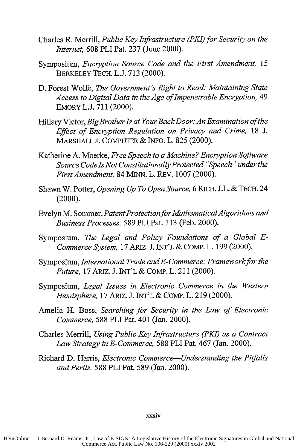- Charles R. Merrill, *Public Key Infrastructure (PKJ) for Security on the Internet,* 608 PLI Pat. 237 (June 2000).
- Symposium, *Encryption Source Code and the First Amendment, 15* BERKELEY **TECH.** L.J. 713 (2000).
- D. Forest Wolfe, *The Government's Right to Read. Maintaining State Access to Digital Data in the Age of Impenetrable Encryption, 49* EMORY L.J. 711 (2000).
- Hillary Victor, *BigBrotherls at Your BackDoor: An Examination of the Effect of Encryption Regulation on Privacy and Crime,* 18 J. MARSHALL J. COMPUTER & INFO. L. 825 (2000).
- Katherine A. Moerke, *Free Speech to a Machine? Encryption Software Source Code Is Not Constitutionally Protected "Speech "under the First Amendment,* 84 M1NN. L. REV. 1007 (2000).
- Shawn W. Potter, *Opening Up To Open Source,* 6 RICH. J.L. & TECH. 24 (2000).
- Evelyn M. Sommer, *Patent Protectionfor MathematicalAlgorithms and Business Processes,* 589 PLI Pat. 113 (Feb. 2000).
- Symposium, *The Legal and Policy Foundations of a Global* **E-***Commerce System,* 17 ARIZ. J. INT'L & COMP. L. 199 (2000).
- Symposium, *International Trade and E-Commerce: Frameworkfor the Future,* 17 ARIZ. J. INT'L & COMP. L. 211 (2000).
- Symposium, *Legal Issues in Electronic Commerce in the Western Hemisphere,* 17 ARIZ. **J. INT'L** & COMP. L. 219 (2000).
- Amelia H. Boss, *Searching for Security in the Law of Electronic Commerce,* 588 PLI Pat. 401 (Jan. 2000).
- Charles Merrill, *Using Public Key Infrastructure (PK) as a Contract Law Strategy in E-Commerce,* 588 PLI Pat. 467 (Jan. 2000).
- Richard D. Harris, *Electronic Commerce-Understanding the Pitfalls andPerils,* 588 PLI Pat. 589 (Jan. 2000).

#### xxxiv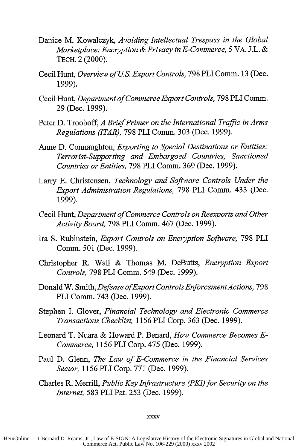- Danice M. Kowalczyk, *Avoiding Intellectual Trespass in the Global Marketplace: Encryption & Privacy in E-Commerce, 5* VA. J.L. & TECH. 2 (2000).
- Cecil Hunt, *Overview of U.S. Export Controls,* 798 PLI Comm. 13 (Dec. 1999).
- Cecil Hunt, *Department of Commerce Export Controls,* 798 PLI Comm. 29 (Dec. 1999).
- Peter D. Trooboff, *A Brief Primer on the International Traffic in Arms Regulations (ITAR),* 798 PLI Comm. 303 (Dec. 1999).
- Anne D. Connaughton, *Exporting to Special Destinations or Entities: Terrorist-Supporting and Embargoed Countries, Sanctioned Countries or Entities,* 798 PLI Comm. 369 (Dec. 1999).
- Larry E. Christensen, *Technology and Software Controls Under the Export Administration Regulations,* 798 PLI Comm. 433 (Dec. 1999).
- Cecil Hunt, *Department of Commerce Controls on Reexports and Other Activity Board,* 798 PLI Comm. 467 (Dec. 1999).
- Ira S. Rubinstein, *Export Controls on Encryption Software,* 798 PLI Comm. 501 (Dec. 1999).
- Christopher R. Wall & Thomas M. DeButts, *Encryption Export Controls,* 798 PLI Comm. 549 (Dec. 1999).
- Donald W. Smith, *Defense of Export Controls Enforcement Actions*, 798 PLI Comm. 743 (Dec. 1999).
- Stephen I. Glover, *Financial Technology and Electronic Commerce Transactions Checklist,* 1156 PLI Corp. 363 (Dec. 1999).
- Leonard T. Nuara & Howard P. Benard, *How Commerce Becomes E-Commerce,* 1156 PLI Corp. 475 (Dec. 1999).
- Paul D. Glenn, *The Law of E-Commerce in the Financial Services Sector,* 1156 PLI Corp. 771 (Dec. 1999).
- Charles R. Merrill, *Public Key Infrastructure (PKI) for Security on the Internet,* 583 PLI Pat. 253 (Dec. 1999).

#### XXXV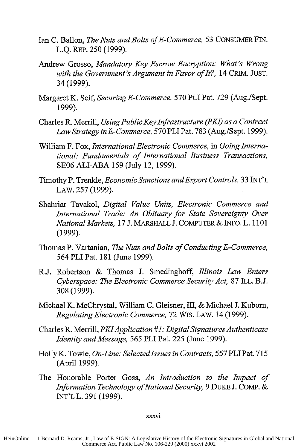- Ian C. Ballon, *The Nuts and Bolts of E-Commerce,* 53 CONSUMER FIN. L.Q. REP. 250 (1999).
- Andrew Grosso, *Mandatory Key Escrow Encryption: What's Wrong with the Government's Argument in Favor of It?,* 14 CRIM. JUST. 34(1999).
- Margaret K. Seif, *Securing E-Commerce,* 570 PLI Pat. 729 (Aug./Sept. 1999).
- Charles R. Merrill, *Using Public Key Infrastructure (PKI) as a Contract Law Strategy in E-Commerce,* 570 PLI Pat. 783 (Aug./Sept. 1999).
- William F. Fox, *International Electronic Commerce,* in *Going International: Fundamentals of International Business Transactions,* SE06 ALI-ABA 159 (July 12, 1999).
- Timothy P. Trenkle, *Economic Sanctions andExport Controls,* 33 INT'L LAW. 257 (1999).
- Shahriar Tavakol, *Digital Value Units, Electronic Commerce and International Trade: An Obituary for State Sovereignly Over National Markets,* 17 J. MARSHALL J. COMPUTER & INFO. L. 1101 (1999).
- Thomas P. Vartanian, *The Nuts and Bolts of Conducting E-Commerce,* 564 PLI Pat. 181 (June 1999).
- R.J. Robertson & Thomas J. Smedinghoff, *Illinois Law Enters Cyberspace: The Electronic Commerce Security Act,* 87 ILL. B.J. 308 (1999).
- Michael K. McChrystal, William C. Gleisner, III, & Michael J. Kuborn, *Regulating Electronic Commerce,* 72 WIS. LAW. 14 (1999).
- Charles R. Merrill, *PKIApplication #1: Digital Signatures Authenticate Identity and Message,* 565 PLI Pat. 225 (June 1999).
- Holly K. Towle, *On-Line: SelectedIssues in Contracts,* 557 PLI Pat. 715 (April 1999).
- The Honorable Porter Goss, *An Introduction to the Impact of Information Technology of National Security,* 9 DUKE J. COMP. & INT'L L. 391 (1999).

#### xxxvi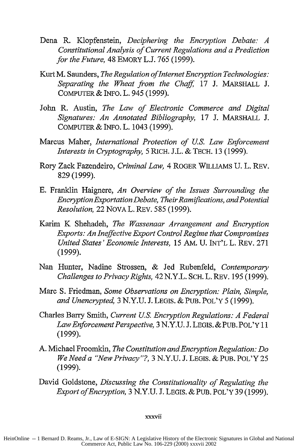- Dena R. Klopfenstein, *Deciphering the Encryption Debate: A Constitutional Analysis of Current Regulations and a Prediction for the Future,* 48 EMoRY L.J. 765 (1999).
- Kurt M. Saunders, *The Regulation ofInternet Encryption Technologies: Separating the Wheat from the Chaff,* 17 J. MARSHALL J. COMPUTER & INFO. L. 945 (1999).
- John R. Austin, *The Law of Electronic Commerce and Digital Signatures: An Annotated Bibliography,* 17 J. MARSHALL J. COMPUTER & INFO. L. 1043 (1999).
- Marcus Maher, *International Protection of U.S. Law Enforcement Interests in Cryptography,* 5 RICH. J.L. & TECH. 13 (1999).
- Rory Zack Fazendeiro, *Criminal Law,* 4 ROGER WILLIAMS U. L. REV. 829 (1999).
- E. Franklin Haignere, *An Overview of the Issues Surrounding the Encryption Exportation Debate, Their Ramifications, andPotential Resolution,* 22 NOVA L. REV. 585 (1999).
- Karim K Shehadeh, *The Wassenaar Arrangement and Encryption Exports: An Ineffective Export Control Regime that Compromises United States' Economic Interests, 15* AM. U. INT'L L. REv. 271 (1999).
- Nan Hunter, Nadine Strossen, & Jed Rubenfeld, *Contemporary Challenges to Privacy Rights,* 42 N.Y.L. SCH. L. REv. 195 (1999).
- Marc S. Friedman, *Some Observations on Encryption: Plain, Simple, and Unencrypted,* 3 N.Y.U. J. LEGIS. & PUB. POL'Y 5 (1999).
- Charles Barry Smith, *Current U.S. Encryption Regulations: A Federal* Law Enforcement Perspective, 3 N.Y.U. J. LEGIS. & PUB. POL'Y 11 (1999).
- A. Michael Froomkin, *The Constitution and Encryption Regulation: Do We Need a "New Privacy"?,* 3 N.Y.U. J. LEGIS. & PUB. POL'Y 25 (1999).
- David Goldstone, *Discussing the Constitutionality of Regulating the Export ofEncryption,* 3 N.Y.U. **J.** LEGIS. & PUB. POL'Y **39** (1999).

#### xxxvii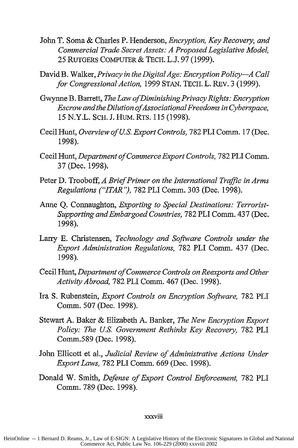- John T. Soma & Charles P. Henderson, *Encryption, Key Recovery, and Commercial Trade Secret Assets: A Proposed Legislative Model,* 25 RUTGERS COMPUTER & TECH. L.J. 97 (1999).
- David B. Walker, *Privacy in the Digital Age: Encryption Policy—A Call for Congressional Action,* 1999 STAN. TECH. L. REV. 3 (1999).
- Gwynne B. Barrett, *The Law ofDiminishing Privacy Rights: Encryption Escrow andtheDilution ofAssociational Freedoms in Cyberspace,* 15 N.Y.L. ScH. J. HUM. RTS. 115 (1998).
- Cecil Hunt, *Overview of U.S. Export Controls,* 782 PLI Comm. 17 (Dec. **1998).**
- Cecil Hunt, *Department of Commerce Export Controls,* 782 PLI Comm. 37 (Dec. 1998).
- Peter D. Trooboff, *A Brief Primer on the International Traffic in Arms Regulations ("ITAR"),* 782 PLI Comm. 303 (Dec. 1998).
- Anne Q. Connaughton, *Exporting to Special Destinations: Terrorist-Supporting and Embargoed Countries,* 782 PLI Comm. 437 (Dec. **1998).**
- Larry E. Christensen, *Technology and Software Controls under the Export Administration Regulations,* 782 PLI Comm. 437 (Dec. 1998).
- Cecil Hunt, *Department of Commerce Controls on Reexports and Other Activity Abroad,* 782 PLI Comm. 467 (Dec. 1998).
- Ira S. Rubenstein, *Export Controls on Encryption Software,* 782 PLI Comm. 507 (Dec. 1998).
- Stewart A. Baker & Elizabeth A. Banker, *The New Encryption Export Policy: The U.S. Government Rethinks Key Recovery,* 782 PLI Comm.589 (Dec. 1998).
- John Ellicott et al., *Judicial Review of Administrative Actions Under Export Laws,* 782 PLI Comm. 669 (Dec. 1998).
- Donald W. Smith, *Defense of Export Control Enforcement,* 782 PLI Comm. 789 (Dec. 1998).

#### Xxxviii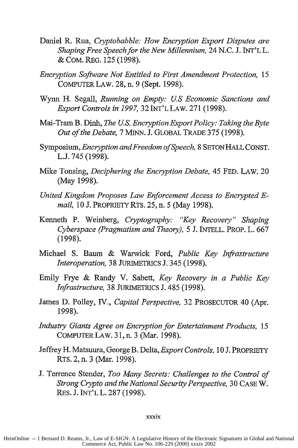- Daniel R. Rua, *Cryptobabble: How Encryption Export Disputes are Shaping Free Speech for the New Millennium,* 24 N.C. J. INT'L L. & COM. REG. 125 (1998).
- *Encryption Software Not Entitled to First Amendment Protection, 15* COMPUTER LAW. 28, n. 9 (Sept. 1998).
- Wynn H. Segall, *Running on Empty: US Economic Sanctions and Export Controls in 1997,* 32 INT'L LAW. 271 (1998).
- Mai-Tram B. Dinh, *The U.S. Encryption Export Policy: Taking the Byte Out of the Debate,* 7 MINN. J. GLOBAL TRADE 375 (1998).
- Symposium, *Encryption and Freedom ofSpeech,* 8 SETON HALL CONST. L.J. 745 (1998).
- Mike Tonsing, *Deciphering the Encryption Debate,* 45 FED. LAW. 20 (May 1998).
- *United Kingdom Proposes Law Enforcement Access to Encrypted Email,* 10 J. PROPRIETY RTS. 25, n. 5 (May 1998).
- Kenneth P. Weinberg, *Cryptography: "Key Recovery" Shaping Cyberspace (Pragmatism and Theory), 5* J. INTELL. PROP. L. 667 **(1998).**
- Michael S. Baum & Warwick Ford, *Public Key Infrastructure Interoperation,* 38 JURIMETRICS J. 345 (1998).
- Emily Frye & Randy V. Sabett, *Key Recovery in a Public Key Infrastructure,* 38 JURIMETRICS J. 485 (1998).
- James D. Polley, *IV., Capital Perspective,* 32 PROSECUTOR 40 (Apr. 1998).
- *Industry Giants Agree on Encryption for Entertainment Products, 15* COMPUTER LAW. 31, n. 3 (Mar. 1998).
- Jeffrey H. Matsuura, George B. Delta, *Export Controls,* 10 J. PROPRIETY RTS. 2, n. 3 (Mar. 1998).
- J. Terrence Stender, *Too Many Secrets: Challenges to the Control of Strong Crypto and the National Security Perspective,* 30 CASE W. RES. J. INT'L L. 287 (1998).

#### xxxix

HeinOnline -- 1 Bernard D. Reams, Jr., Law of E-SIGN: A Legislative History of the Electronic Signatures in Global and National Commerce Act, Public Law No. 106-229 (2000) xxxix 2002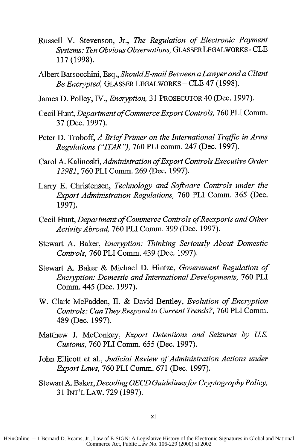- Russell V. Stevenson, Jr., *The Regulation of Electronic Payment Systems: Ten Obvious Observations,* GLASSERLEGALWORKS- CLE 117(1998).
- Albert Barsocchini, Esq., *Should E-mail Between a Lawyer and a Client Be Encrypted, GLASSER LEGALWORKS – CLE 47 (1998).*
- James D. Polley, IV., *Encryption,* 31 PROSECUTOR 40 (Dec. 1997).
- Cecil Hunt, *Department of Commerce Export Controls,* 760 PLI Comm. 37 (Dec. 1997).
- Peter D. Troboff, *A Brief Primer on the International Traffic in Arms Regulations ("ITAR'),* 760 PLI comm. 247 (Dec. 1997).
- Carol A. Kalinoski, *Administration ofExport Controls Executive Order 12981,* 760 PLI Comm. 269 (Dec. 1997).
- Larry E. Christensen, *Technology and Software Controls under the Export Administration Regulations,* 760 PLI Comm. 365 (Dec. 1997).
- Cecil Hunt, *Department of Commerce Controls of Reexports and Other Activity Abroad,* 760 PLI Comm. 399 (Dec. 1997).
- Stewart A. Baker, *Encryption: Thinking Seriously About Domestic Controls,* 760 PLI Comm. 439 (Dec. 1997).
- Stewart A. Baker & Michael D. Hintze, *Government Regulation of Encryption: Domestic and International Developments,* 760 PLI Comm. 445 (Dec. 1997).
- W. Clark McFadden, II. & David Bentley, *Evolution of Encryption Controls: Can They Respond to Current Trends?,* 760 PLI Comm. 489 (Dec. 1997).
- Matthew J. McConkey, *Export Detentions and Seizures by U.S. Customs,* 760 PLI Comm. 655 (Dec. 1997).
- John Ellicott et al., *Judicial Review of Administration Actions under Export Laws,* 760 PLI Comm. 671 (Dec. 1997).
- Stewart A. Baker, *Decoding OECD Guidelines for Cryptography Policy,* 31 INT'L LAW. **729 (1997).**

HeinOnline -- 1 Bernard D. Reams, Jr., Law of E-SIGN: A Legislative History of the Electronic Signatures in Global and National Commerce Act, Public Law No. 106-229 (2000) xl 2002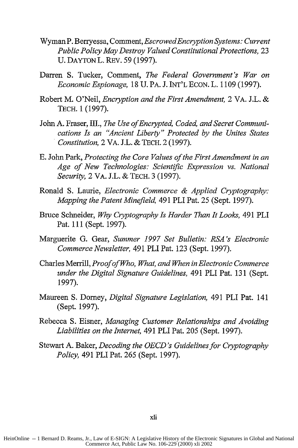- Wyman P. Berryessa, Comment, *EscrowedEncryption Systems: Current Public Policy May Destroy Valued Constitutional Protections,* 23 U. **DAYTON** L. REV. 59 (1997).
- Darren S. Tucker, Comment, *The Federal Government's War on Economic Espionage,* 18 U. PA. J. INT'L ECON. L. 1109 (1997).
- Robert M. O'Neil, *Encryption and the First Amendment,* 2 VA. J.L. & TECH. 1 (1997).
- John A. Fraser, III., *The Use of Encrypted, Coded, and Secret Communications Is an "Ancient Liberty" Protected by the Unites States Constitution,* 2 VA. J.L. & TECH. 2 (1997).
- E. John Park, *Protecting the Core Values of the First Amendment in an Age of New Technologies: Scientific Expression vs. National Security,* 2 VA. J.L. & TECH. 3 (1997).
- Ronald S. Laurie, *Electronic Commerce & Applied Cryptography: Mapping the Patent Minefield,* 491 PLI Pat. 25 (Sept. 1997).
- Bruce Schneider, *Why Cryptography Is Harder Than It Looks,* 491 PLI Pat. 111 (Sept. 1997).
- Marguerite G. Gear, *Summer 1997 Set Bulletin: RSA's Electronic Commerce Newsletter,* 491 PLI Pat. 123 (Sept. 1997).
- Charles Merrill, *Proofof Who, What, and When in Electronic Commerce under the Digital Signature Guidelines,* 491 PLI Pat. 131 (Sept. 1997).
- Maureen S. Dorney, *Digital Signature Legislation,* 491 PLI Pat. 141 (Sept. 1997).
- Rebecca S. Eisner, *Managing Customer Relationships and Avoiding Liabilities on the Internet,* 491 PLI Pat. 205 (Sept. 1997).
- Stewart A. Baker, *Decoding the OECD's Guidelines for Cryptography Policy,* 491 PLI Pat. 265 (Sept. 1997).

HeinOnline -- 1 Bernard D. Reams, Jr., Law of E-SIGN: A Legislative History of the Electronic Signatures in Global and National Commerce Act, Public Law No. 106-229 (2000) xli 2002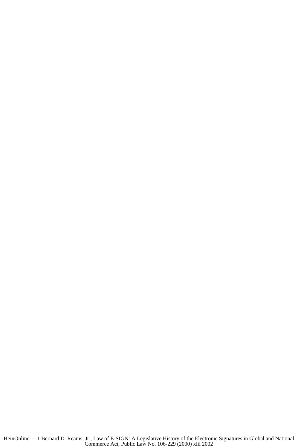HeinOnline -- 1 Bernard D. Reams, Jr., Law of E-SIGN: A Legislative History of the Electronic Signatures in Global and National Commerce Act, Public Law No. 106-229 (2000) xlii 2002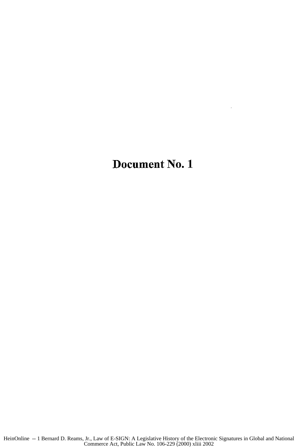Document No. **1**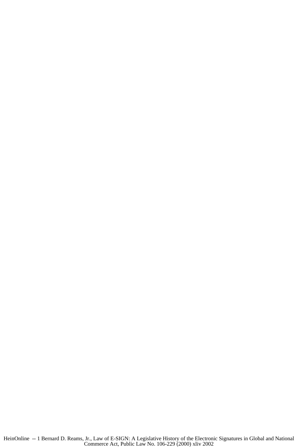HeinOnline -- 1 Bernard D. Reams, Jr., Law of E-SIGN: A Legislative History of the Electronic Signatures in Global and National Commerce Act, Public Law No. 106-229 (2000) xliv 2002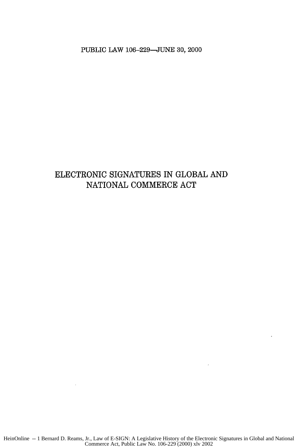PUBLIC LAW 106-229--JUNE 30, 2000

### ELECTRONIC SIGNATURES IN GLOBAL AND NATIONAL COMMERCE ACT